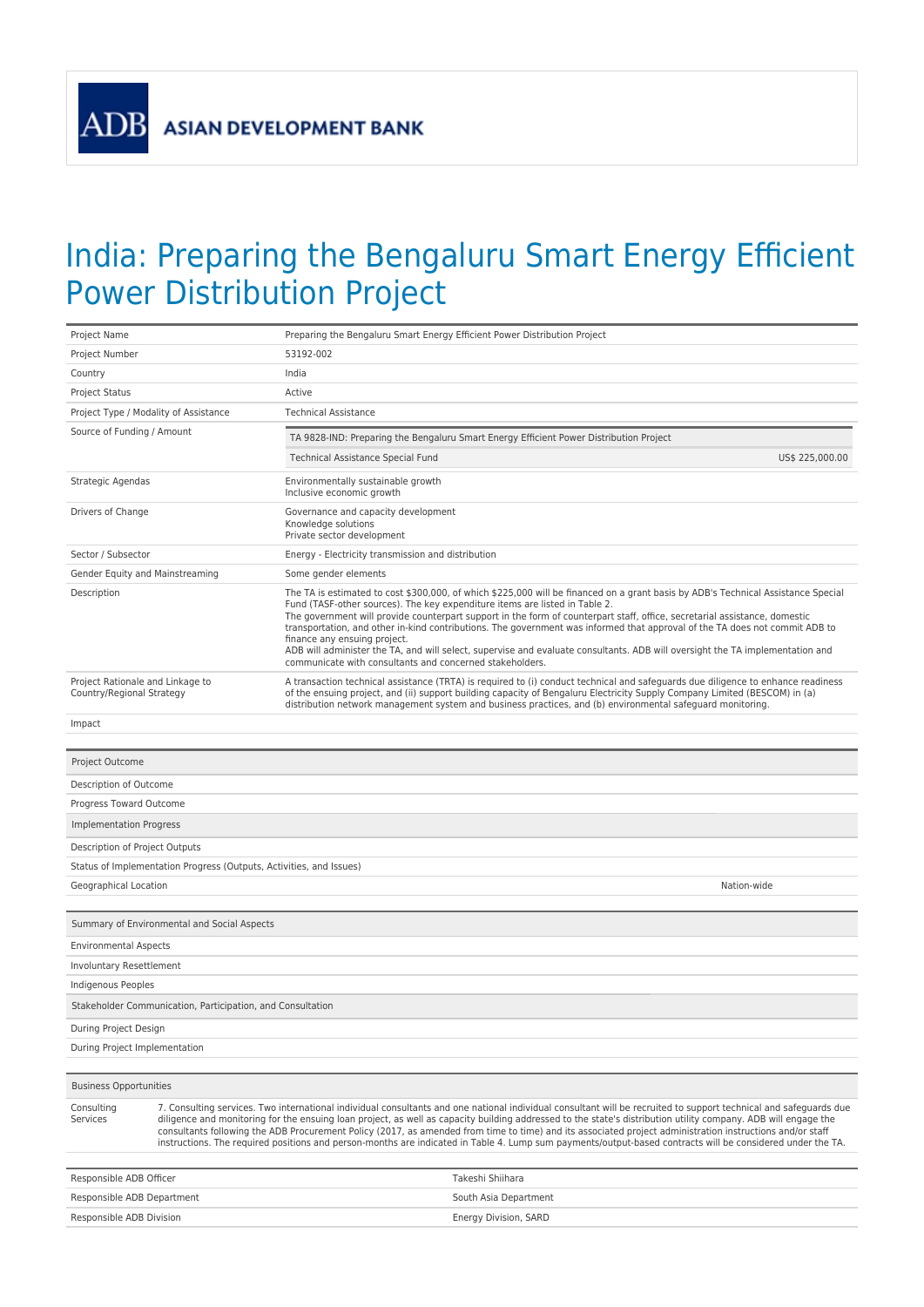**ADB** 

## India: Preparing the Bengaluru Smart Energy Efficient Power Distribution Project

| Project Name                                                                                                                                                                                                                                                                                                                                                                                                                                                                                                                                                                                                                                                                             |                                                                     | Preparing the Bengaluru Smart Energy Efficient Power Distribution Project                |                                                                                                                                                                                                                                                                                                                                                                                                                                                                                                                                                                                                                |  |  |  |  |
|------------------------------------------------------------------------------------------------------------------------------------------------------------------------------------------------------------------------------------------------------------------------------------------------------------------------------------------------------------------------------------------------------------------------------------------------------------------------------------------------------------------------------------------------------------------------------------------------------------------------------------------------------------------------------------------|---------------------------------------------------------------------|------------------------------------------------------------------------------------------|----------------------------------------------------------------------------------------------------------------------------------------------------------------------------------------------------------------------------------------------------------------------------------------------------------------------------------------------------------------------------------------------------------------------------------------------------------------------------------------------------------------------------------------------------------------------------------------------------------------|--|--|--|--|
| Project Number                                                                                                                                                                                                                                                                                                                                                                                                                                                                                                                                                                                                                                                                           |                                                                     | 53192-002                                                                                |                                                                                                                                                                                                                                                                                                                                                                                                                                                                                                                                                                                                                |  |  |  |  |
| Country                                                                                                                                                                                                                                                                                                                                                                                                                                                                                                                                                                                                                                                                                  |                                                                     | India                                                                                    |                                                                                                                                                                                                                                                                                                                                                                                                                                                                                                                                                                                                                |  |  |  |  |
| <b>Project Status</b>                                                                                                                                                                                                                                                                                                                                                                                                                                                                                                                                                                                                                                                                    |                                                                     | Active                                                                                   |                                                                                                                                                                                                                                                                                                                                                                                                                                                                                                                                                                                                                |  |  |  |  |
| Project Type / Modality of Assistance                                                                                                                                                                                                                                                                                                                                                                                                                                                                                                                                                                                                                                                    |                                                                     | <b>Technical Assistance</b>                                                              |                                                                                                                                                                                                                                                                                                                                                                                                                                                                                                                                                                                                                |  |  |  |  |
| Source of Funding / Amount                                                                                                                                                                                                                                                                                                                                                                                                                                                                                                                                                                                                                                                               |                                                                     |                                                                                          | TA 9828-IND: Preparing the Bengaluru Smart Energy Efficient Power Distribution Project                                                                                                                                                                                                                                                                                                                                                                                                                                                                                                                         |  |  |  |  |
|                                                                                                                                                                                                                                                                                                                                                                                                                                                                                                                                                                                                                                                                                          |                                                                     | Technical Assistance Special Fund                                                        | US\$ 225,000.00                                                                                                                                                                                                                                                                                                                                                                                                                                                                                                                                                                                                |  |  |  |  |
| Strategic Agendas                                                                                                                                                                                                                                                                                                                                                                                                                                                                                                                                                                                                                                                                        |                                                                     | Environmentally sustainable growth<br>Inclusive economic growth                          |                                                                                                                                                                                                                                                                                                                                                                                                                                                                                                                                                                                                                |  |  |  |  |
| Drivers of Change                                                                                                                                                                                                                                                                                                                                                                                                                                                                                                                                                                                                                                                                        |                                                                     | Governance and capacity development<br>Knowledge solutions<br>Private sector development |                                                                                                                                                                                                                                                                                                                                                                                                                                                                                                                                                                                                                |  |  |  |  |
| Sector / Subsector                                                                                                                                                                                                                                                                                                                                                                                                                                                                                                                                                                                                                                                                       |                                                                     | Energy - Electricity transmission and distribution                                       |                                                                                                                                                                                                                                                                                                                                                                                                                                                                                                                                                                                                                |  |  |  |  |
| Gender Equity and Mainstreaming                                                                                                                                                                                                                                                                                                                                                                                                                                                                                                                                                                                                                                                          |                                                                     | Some gender elements                                                                     |                                                                                                                                                                                                                                                                                                                                                                                                                                                                                                                                                                                                                |  |  |  |  |
| Description                                                                                                                                                                                                                                                                                                                                                                                                                                                                                                                                                                                                                                                                              |                                                                     | finance any ensuing project.<br>communicate with consultants and concerned stakeholders. | The TA is estimated to cost \$300,000, of which \$225,000 will be financed on a grant basis by ADB's Technical Assistance Special<br>Fund (TASF-other sources). The key expenditure items are listed in Table 2.<br>The government will provide counterpart support in the form of counterpart staff, office, secretarial assistance, domestic<br>transportation, and other in-kind contributions. The government was informed that approval of the TA does not commit ADB to<br>ADB will administer the TA, and will select, supervise and evaluate consultants. ADB will oversight the TA implementation and |  |  |  |  |
| Project Rationale and Linkage to<br>Country/Regional Strategy                                                                                                                                                                                                                                                                                                                                                                                                                                                                                                                                                                                                                            |                                                                     |                                                                                          | A transaction technical assistance (TRTA) is required to (i) conduct technical and safeguards due diligence to enhance readiness<br>of the ensuing project, and (ii) support building capacity of Bengaluru Electricity Supply Company Limited (BESCOM) in (a)<br>distribution network management system and business practices, and (b) environmental safeguard monitoring.                                                                                                                                                                                                                                   |  |  |  |  |
| Impact                                                                                                                                                                                                                                                                                                                                                                                                                                                                                                                                                                                                                                                                                   |                                                                     |                                                                                          |                                                                                                                                                                                                                                                                                                                                                                                                                                                                                                                                                                                                                |  |  |  |  |
|                                                                                                                                                                                                                                                                                                                                                                                                                                                                                                                                                                                                                                                                                          |                                                                     |                                                                                          |                                                                                                                                                                                                                                                                                                                                                                                                                                                                                                                                                                                                                |  |  |  |  |
| Project Outcome                                                                                                                                                                                                                                                                                                                                                                                                                                                                                                                                                                                                                                                                          |                                                                     |                                                                                          |                                                                                                                                                                                                                                                                                                                                                                                                                                                                                                                                                                                                                |  |  |  |  |
| Description of Outcome                                                                                                                                                                                                                                                                                                                                                                                                                                                                                                                                                                                                                                                                   |                                                                     |                                                                                          |                                                                                                                                                                                                                                                                                                                                                                                                                                                                                                                                                                                                                |  |  |  |  |
| Progress Toward Outcome                                                                                                                                                                                                                                                                                                                                                                                                                                                                                                                                                                                                                                                                  |                                                                     |                                                                                          |                                                                                                                                                                                                                                                                                                                                                                                                                                                                                                                                                                                                                |  |  |  |  |
| Implementation Progress                                                                                                                                                                                                                                                                                                                                                                                                                                                                                                                                                                                                                                                                  |                                                                     |                                                                                          |                                                                                                                                                                                                                                                                                                                                                                                                                                                                                                                                                                                                                |  |  |  |  |
| Description of Project Outputs                                                                                                                                                                                                                                                                                                                                                                                                                                                                                                                                                                                                                                                           |                                                                     |                                                                                          |                                                                                                                                                                                                                                                                                                                                                                                                                                                                                                                                                                                                                |  |  |  |  |
|                                                                                                                                                                                                                                                                                                                                                                                                                                                                                                                                                                                                                                                                                          | Status of Implementation Progress (Outputs, Activities, and Issues) |                                                                                          |                                                                                                                                                                                                                                                                                                                                                                                                                                                                                                                                                                                                                |  |  |  |  |
| Geographical Location                                                                                                                                                                                                                                                                                                                                                                                                                                                                                                                                                                                                                                                                    |                                                                     |                                                                                          | Nation-wide                                                                                                                                                                                                                                                                                                                                                                                                                                                                                                                                                                                                    |  |  |  |  |
|                                                                                                                                                                                                                                                                                                                                                                                                                                                                                                                                                                                                                                                                                          |                                                                     |                                                                                          |                                                                                                                                                                                                                                                                                                                                                                                                                                                                                                                                                                                                                |  |  |  |  |
|                                                                                                                                                                                                                                                                                                                                                                                                                                                                                                                                                                                                                                                                                          | Summary of Environmental and Social Aspects                         |                                                                                          |                                                                                                                                                                                                                                                                                                                                                                                                                                                                                                                                                                                                                |  |  |  |  |
| <b>Environmental Aspects</b>                                                                                                                                                                                                                                                                                                                                                                                                                                                                                                                                                                                                                                                             |                                                                     |                                                                                          |                                                                                                                                                                                                                                                                                                                                                                                                                                                                                                                                                                                                                |  |  |  |  |
| Involuntary Resettlement                                                                                                                                                                                                                                                                                                                                                                                                                                                                                                                                                                                                                                                                 |                                                                     |                                                                                          |                                                                                                                                                                                                                                                                                                                                                                                                                                                                                                                                                                                                                |  |  |  |  |
| Indigenous Peoples                                                                                                                                                                                                                                                                                                                                                                                                                                                                                                                                                                                                                                                                       |                                                                     |                                                                                          |                                                                                                                                                                                                                                                                                                                                                                                                                                                                                                                                                                                                                |  |  |  |  |
| Stakeholder Communication, Participation, and Consultation                                                                                                                                                                                                                                                                                                                                                                                                                                                                                                                                                                                                                               |                                                                     |                                                                                          |                                                                                                                                                                                                                                                                                                                                                                                                                                                                                                                                                                                                                |  |  |  |  |
| During Project Design                                                                                                                                                                                                                                                                                                                                                                                                                                                                                                                                                                                                                                                                    |                                                                     |                                                                                          |                                                                                                                                                                                                                                                                                                                                                                                                                                                                                                                                                                                                                |  |  |  |  |
| During Project Implementation                                                                                                                                                                                                                                                                                                                                                                                                                                                                                                                                                                                                                                                            |                                                                     |                                                                                          |                                                                                                                                                                                                                                                                                                                                                                                                                                                                                                                                                                                                                |  |  |  |  |
|                                                                                                                                                                                                                                                                                                                                                                                                                                                                                                                                                                                                                                                                                          |                                                                     |                                                                                          |                                                                                                                                                                                                                                                                                                                                                                                                                                                                                                                                                                                                                |  |  |  |  |
| <b>Business Opportunities</b>                                                                                                                                                                                                                                                                                                                                                                                                                                                                                                                                                                                                                                                            |                                                                     |                                                                                          |                                                                                                                                                                                                                                                                                                                                                                                                                                                                                                                                                                                                                |  |  |  |  |
| 7. Consulting services. Two international individual consultants and one national individual consultant will be recruited to support technical and safeguards due<br>Consulting<br>diligence and monitoring for the ensuing loan project, as well as capacity building addressed to the state's distribution utility company. ADB will engage the<br>Services<br>consultants following the ADB Procurement Policy (2017, as amended from time to time) and its associated project administration instructions and/or staff<br>instructions. The required positions and person-months are indicated in Table 4. Lump sum payments/output-based contracts will be considered under the TA. |                                                                     |                                                                                          |                                                                                                                                                                                                                                                                                                                                                                                                                                                                                                                                                                                                                |  |  |  |  |
| Takeshi Shiihara<br>Responsible ADB Officer                                                                                                                                                                                                                                                                                                                                                                                                                                                                                                                                                                                                                                              |                                                                     |                                                                                          |                                                                                                                                                                                                                                                                                                                                                                                                                                                                                                                                                                                                                |  |  |  |  |
| Responsible ADB Department                                                                                                                                                                                                                                                                                                                                                                                                                                                                                                                                                                                                                                                               |                                                                     |                                                                                          | South Asia Department                                                                                                                                                                                                                                                                                                                                                                                                                                                                                                                                                                                          |  |  |  |  |
| Responsible ADB Division                                                                                                                                                                                                                                                                                                                                                                                                                                                                                                                                                                                                                                                                 |                                                                     |                                                                                          | Energy Division, SARD                                                                                                                                                                                                                                                                                                                                                                                                                                                                                                                                                                                          |  |  |  |  |